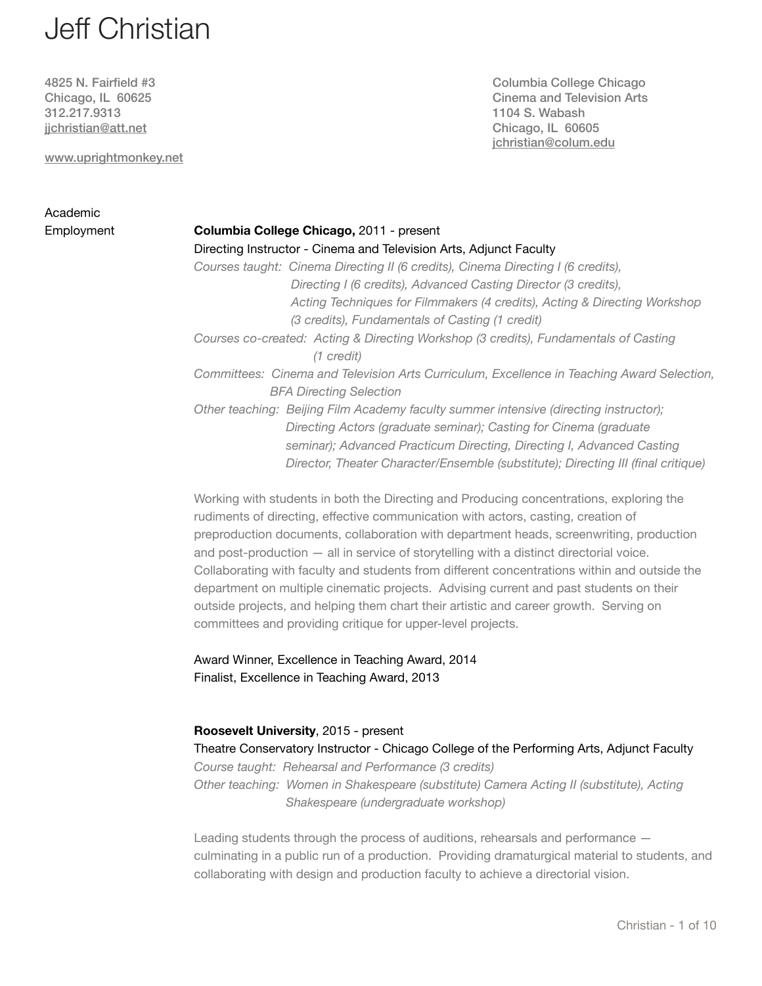# Jeff Christian

312.217.9313 1104 S. Wabash [jjchristian@att.net](mailto:jjchristian@att.net?subject=) Chicago, IL 60605

[www.uprightmonkey.net](http://www.uprightmonkey.net)

# Academic

4825 N. Fairfield #3 Columbia College Chicago Chicago, IL 60625 Cinema and Television Arts [jchristian@colum.edu](mailto:jchristian@colum.edu)

# Employment **Columbia College Chicago,** 2011 - present Directing Instructor - Cinema and Television Arts, Adjunct Faculty *Courses taught: Cinema Directing II (6 credits), Cinema Directing I (6 credits), Directing I (6 credits), Advanced Casting Director (3 credits), Acting Techniques for Filmmakers (4 credits), Acting & Directing Workshop (3 credits), Fundamentals of Casting (1 credit) Courses co-created: Acting & Directing Workshop (3 credits), Fundamentals of Casting (1 credit) Committees: Cinema and Television Arts Curriculum, Excellence in Teaching Award Selection, BFA Directing Selection Other teaching: Beijing Film Academy faculty summer intensive (directing instructor); Directing Actors (graduate seminar); Casting for Cinema (graduate* seminar); Advanced Practicum Directing, Directing I, Advanced Casting  *Director, Theater Character/Ensemble (substitute); Directing III (final critique)*

Working with students in both the Directing and Producing concentrations, exploring the rudiments of directing, effective communication with actors, casting, creation of preproduction documents, collaboration with department heads, screenwriting, production and post-production — all in service of storytelling with a distinct directorial voice. Collaborating with faculty and students from different concentrations within and outside the department on multiple cinematic projects. Advising current and past students on their outside projects, and helping them chart their artistic and career growth. Serving on committees and providing critique for upper-level projects.

Award Winner, Excellence in Teaching Award, 2014 Finalist, Excellence in Teaching Award, 2013

# **Roosevelt University**, 2015 - present Theatre Conservatory Instructor - Chicago College of the Performing Arts, Adjunct Faculty *Course taught: Rehearsal and Performance (3 credits) Other teaching: Women in Shakespeare (substitute) Camera Acting II (substitute), Acting Shakespeare (undergraduate workshop)*

Leading students through the process of auditions, rehearsals and performance culminating in a public run of a production. Providing dramaturgical material to students, and collaborating with design and production faculty to achieve a directorial vision.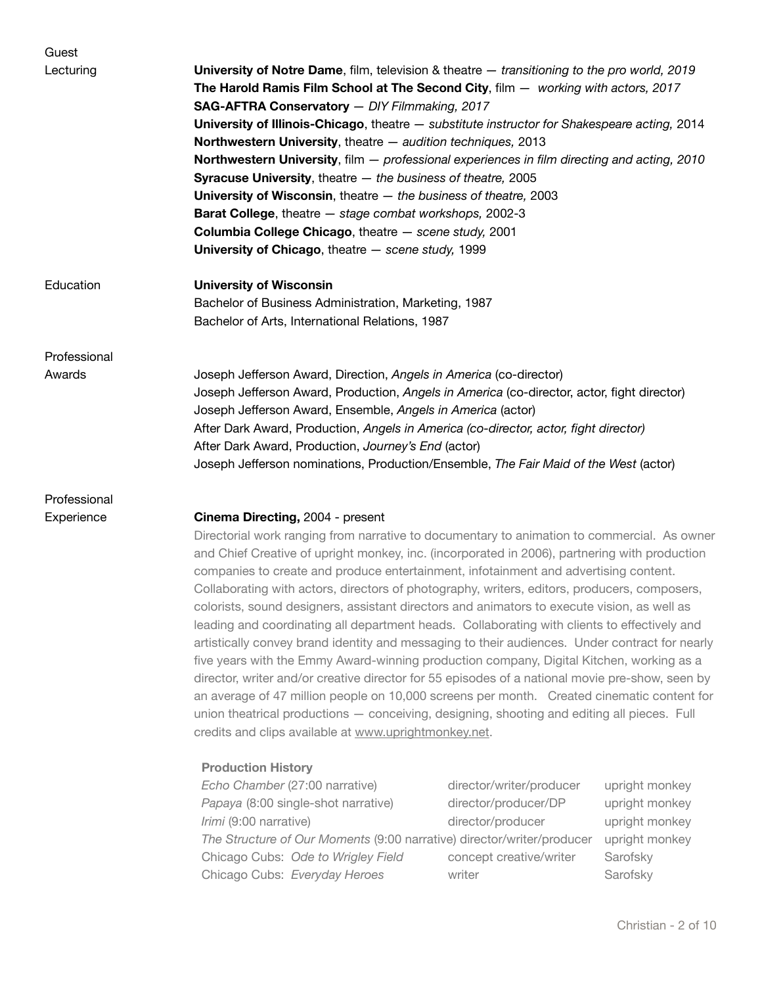| Guest        |                                                                                                                                                                                                                                                                                                                                                                                                                                                                                                                                                                                                                                                                                                                                                                                                                              |
|--------------|------------------------------------------------------------------------------------------------------------------------------------------------------------------------------------------------------------------------------------------------------------------------------------------------------------------------------------------------------------------------------------------------------------------------------------------------------------------------------------------------------------------------------------------------------------------------------------------------------------------------------------------------------------------------------------------------------------------------------------------------------------------------------------------------------------------------------|
| Lecturing    | University of Notre Dame, film, television & theatre - transitioning to the pro world, 2019<br>The Harold Ramis Film School at The Second City, film - working with actors, 2017<br>SAG-AFTRA Conservatory - DIY Filmmaking, 2017<br>University of Illinois-Chicago, theatre - substitute instructor for Shakespeare acting, 2014<br>Northwestern University, theatre - audition techniques, 2013<br>Northwestern University, film - professional experiences in film directing and acting, 2010<br><b>Syracuse University</b> , theatre $-$ the business of theatre, 2005<br>University of Wisconsin, theatre $-$ the business of theatre, 2003<br>Barat College, theatre - stage combat workshops, 2002-3<br>Columbia College Chicago, theatre - scene study, 2001<br>University of Chicago, theatre $-$ scene study, 1999 |
| Education    | <b>University of Wisconsin</b><br>Bachelor of Business Administration, Marketing, 1987<br>Bachelor of Arts, International Relations, 1987                                                                                                                                                                                                                                                                                                                                                                                                                                                                                                                                                                                                                                                                                    |
| Professional |                                                                                                                                                                                                                                                                                                                                                                                                                                                                                                                                                                                                                                                                                                                                                                                                                              |
| Awards       | Joseph Jefferson Award, Direction, Angels in America (co-director)<br>Joseph Jefferson Award, Production, Angels in America (co-director, actor, fight director)<br>Joseph Jefferson Award, Ensemble, Angels in America (actor)<br>After Dark Award, Production, Angels in America (co-director, actor, fight director)<br>After Dark Award, Production, Journey's End (actor)<br>Joseph Jefferson nominations, Production/Ensemble, The Fair Maid of the West (actor)                                                                                                                                                                                                                                                                                                                                                       |
| Professional |                                                                                                                                                                                                                                                                                                                                                                                                                                                                                                                                                                                                                                                                                                                                                                                                                              |
| Experience   | Cinema Directing, 2004 - present<br>Directorial work ranging from narrative to documentary to animation to commercial. As owne<br>and Chief Creative of upright monkey, inc. (incorporated in 2006), partnering with production<br>companies to create and produce entertainment, infotainment and advertising content.<br>Collaborating with actors, directors of photography, writers, editors, producers, composers,<br>colorists, sound designers, assistant directors and animators to execute vision, as well as<br>leading and coordinating all department heads. Collaborating with clients to effectively and                                                                                                                                                                                                       |

Directorial work ranging from narrative to documentary to animation to commercial. As owner and Chief Creative of upright monkey, inc. (incorporated in 2006), partnering with production leading and coordinating all department heads. Collaborating with clients to effectively and artistically convey brand identity and messaging to their audiences. Under contract for nearly five years with the Emmy Award-winning production company, Digital Kitchen, working as a director, writer and/or creative director for 55 episodes of a national movie pre-show, seen by an average of 47 million people on 10,000 screens per month. Created cinematic content for union theatrical productions — conceiving, designing, shooting and editing all pieces. Full credits and clips available at [www.uprightmonkey.net](http://www.uprightmonkey.net).

# **Production History**

| Echo Chamber (27:00 narrative)                                         | director/writer/producer | upright n |
|------------------------------------------------------------------------|--------------------------|-----------|
| Papaya (8:00 single-shot narrative)                                    | director/producer/DP     | upright n |
| Irimi (9:00 narrative)                                                 | director/producer        | upright n |
| The Structure of Our Moments (9:00 narrative) director/writer/producer |                          | upright n |
| Chicago Cubs: Ode to Wrigley Field                                     | concept creative/writer  | Sarofsky  |
| Chicago Cubs: Everyday Heroes                                          | writer                   | Sarofsky  |

*irector/writer/producer* upright monkey *Papaya crector/producer/DP* upright monkey *Irector/producer* upright monkey *The Structure of Our Moneta* corrector/writer/producer upright monkey oncept creative/writer **Sarofsky**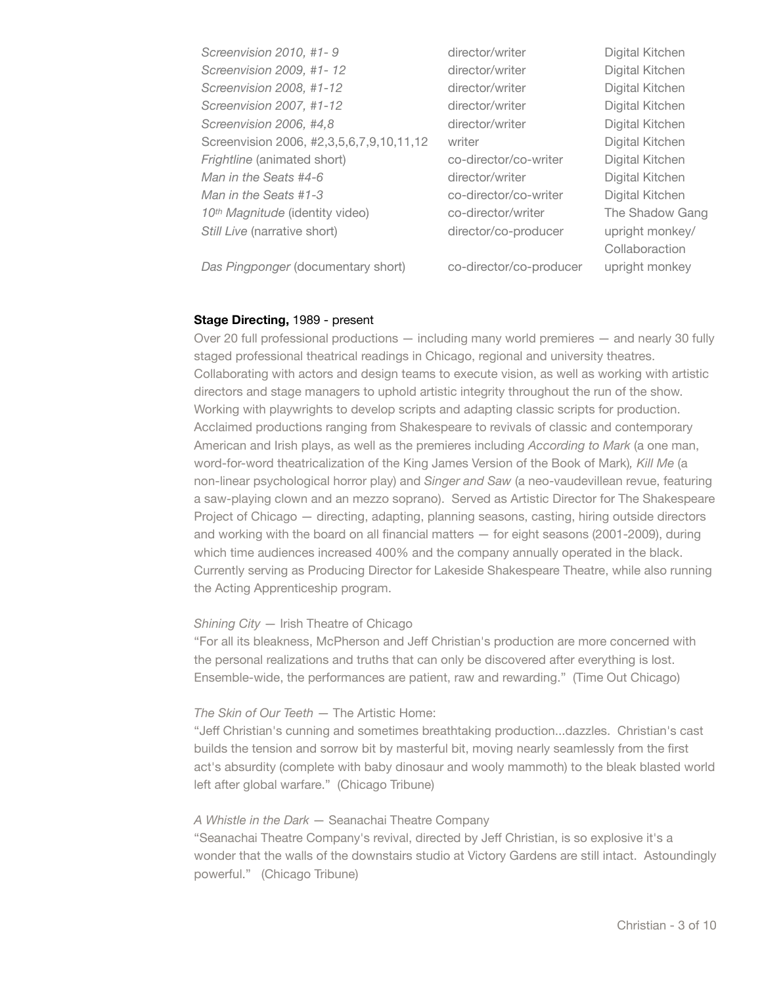| Screenvision 2010, #1-9                     | director/writer         | Digital Kitchen |
|---------------------------------------------|-------------------------|-----------------|
| Screenvision 2009, #1-12                    | director/writer         | Digital Kitchen |
| Screenvision 2008, #1-12                    | director/writer         | Digital Kitchen |
| Screenvision 2007, #1-12                    | director/writer         | Digital Kitchen |
| Screenvision 2006, #4,8                     | director/writer         | Digital Kitchen |
| Screenvision 2006, #2,3,5,6,7,9,10,11,12    | writer                  | Digital Kitchen |
| Frightline (animated short)                 | co-director/co-writer   | Digital Kitchen |
| Man in the Seats #4-6                       | director/writer         | Digital Kitchen |
| Man in the Seats #1-3                       | co-director/co-writer   | Digital Kitchen |
| 10 <sup>th</sup> Magnitude (identity video) | co-director/writer      | The Shadow Gang |
| Still Live (narrative short)                | director/co-producer    | upright monkey/ |
|                                             |                         | Collaboraction  |
| Das Pingponger (documentary short)          | co-director/co-producer | upright monkey  |

#### **Stage Directing,** 1989 - present

Over 20 full professional productions — including many world premieres — and nearly 30 fully staged professional theatrical readings in Chicago, regional and university theatres. Collaborating with actors and design teams to execute vision, as well as working with artistic directors and stage managers to uphold artistic integrity throughout the run of the show. Working with playwrights to develop scripts and adapting classic scripts for production. Acclaimed productions ranging from Shakespeare to revivals of classic and contemporary American and Irish plays, as well as the premieres including *According to Mark* (a one man, word-for-word theatricalization of the King James Version of the Book of Mark)*, Kill Me* (a non-linear psychological horror play) and *Singer and Saw* (a neo-vaudevillean revue, featuring a saw-playing clown and an mezzo soprano). Served as Artistic Director for The Shakespeare Project of Chicago — directing, adapting, planning seasons, casting, hiring outside directors and working with the board on all financial matters — for eight seasons (2001-2009), during which time audiences increased 400% and the company annually operated in the black. Currently serving as Producing Director for Lakeside Shakespeare Theatre, while also running the Acting Apprenticeship program.

# *Shining City* — Irish Theatre of Chicago

"For all its bleakness, McPherson and Jeff Christian's production are more concerned with the personal realizations and truths that can only be discovered after everything is lost. Ensemble-wide, the performances are patient, raw and rewarding." (Time Out Chicago)

#### *The Skin of Our Teeth* — The Artistic Home:

"Jeff Christian's cunning and sometimes breathtaking production...dazzles. Christian's cast builds the tension and sorrow bit by masterful bit, moving nearly seamlessly from the first act's absurdity (complete with baby dinosaur and wooly mammoth) to the bleak blasted world left after global warfare." (Chicago Tribune)

#### *A Whistle in the Dark* — Seanachai Theatre Company

"Seanachai Theatre Company's revival, directed by Jeff Christian, is so explosive it's a wonder that the walls of the downstairs studio at Victory Gardens are still intact. Astoundingly powerful." (Chicago Tribune)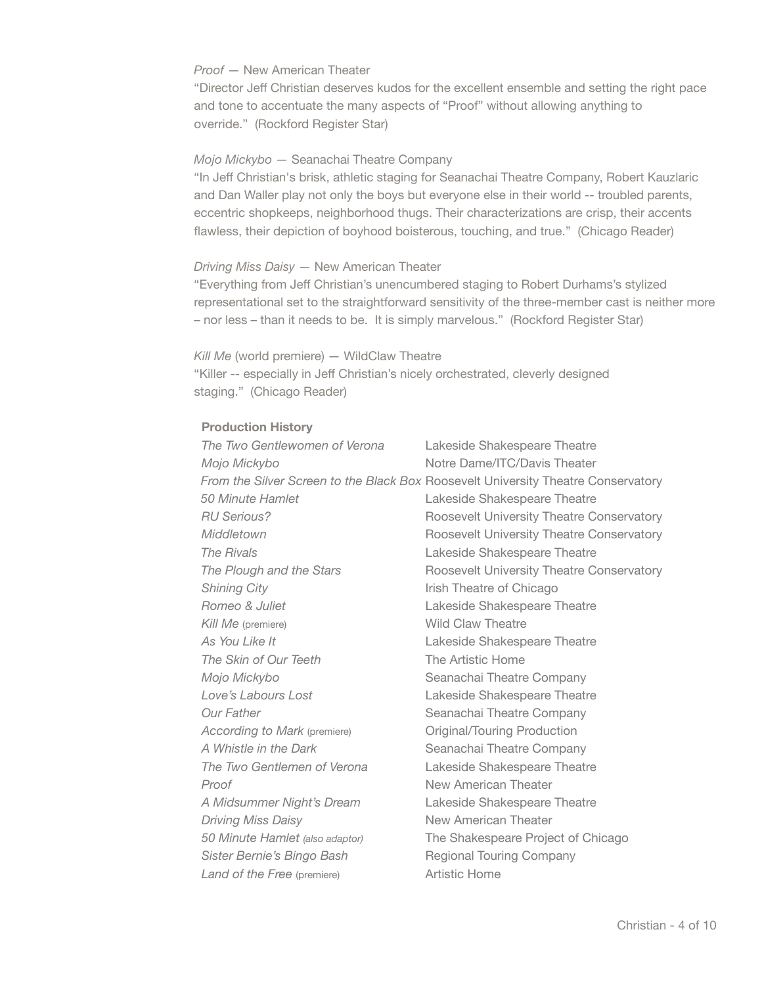# *Proof* — New American Theater

"Director Jeff Christian deserves kudos for the excellent ensemble and setting the right pace and tone to accentuate the many aspects of "Proof" without allowing anything to override." (Rockford Register Star)

# *Mojo Mickybo* — Seanachai Theatre Company

"In Jeff Christian's brisk, athletic staging for Seanachai Theatre Company, Robert Kauzlaric and Dan Waller play not only the boys but everyone else in their world -- troubled parents, eccentric shopkeeps, neighborhood thugs. Their characterizations are crisp, their accents flawless, their depiction of boyhood boisterous, touching, and true." (Chicago Reader)

# *Driving Miss Daisy* — New American Theater

"Everything from Jeff Christian's unencumbered staging to Robert Durhams's stylized representational set to the straightforward sensitivity of the three-member cast is neither more – nor less – than it needs to be. It is simply marvelous." (Rockford Register Star)

*Kill Me* (world premiere) — WildClaw Theatre "Killer -- especially in Jeff Christian's nicely orchestrated, cleverly designed staging." (Chicago Reader)

# **Production History**

| The Two Gentlewomen of Verona   | Lakeside Shakespeare Theatre                                                      |
|---------------------------------|-----------------------------------------------------------------------------------|
| Mojo Mickybo                    | Notre Dame/ITC/Davis Theater                                                      |
|                                 | From the Silver Screen to the Black Box Roosevelt University Theatre Conservatory |
| 50 Minute Hamlet                | Lakeside Shakespeare Theatre                                                      |
| <b>RU Serious?</b>              | Roosevelt University Theatre Conservatory                                         |
| Middletown                      | Roosevelt University Theatre Conservatory                                         |
| The Rivals                      | Lakeside Shakespeare Theatre                                                      |
| The Plough and the Stars        | Roosevelt University Theatre Conservatory                                         |
| <b>Shining City</b>             | Irish Theatre of Chicago                                                          |
| Romeo & Juliet                  | Lakeside Shakespeare Theatre                                                      |
| Kill Me (premiere)              | <b>Wild Claw Theatre</b>                                                          |
| As You Like It                  | Lakeside Shakespeare Theatre                                                      |
| The Skin of Our Teeth           | The Artistic Home                                                                 |
| Mojo Mickybo                    | Seanachai Theatre Company                                                         |
| Love's Labours Lost             | Lakeside Shakespeare Theatre                                                      |
| <b>Our Father</b>               | Seanachai Theatre Company                                                         |
| According to Mark (premiere)    | Original/Touring Production                                                       |
| A Whistle in the Dark           | Seanachai Theatre Company                                                         |
| The Two Gentlemen of Verona     | Lakeside Shakespeare Theatre                                                      |
| Proof                           | New American Theater                                                              |
| A Midsummer Night's Dream       | Lakeside Shakespeare Theatre                                                      |
| <b>Driving Miss Daisy</b>       | New American Theater                                                              |
| 50 Minute Hamlet (also adaptor) | The Shakespeare Project of Chicago                                                |
| Sister Bernie's Bingo Bash      | <b>Regional Touring Company</b>                                                   |
| Land of the Free (premiere)     | <b>Artistic Home</b>                                                              |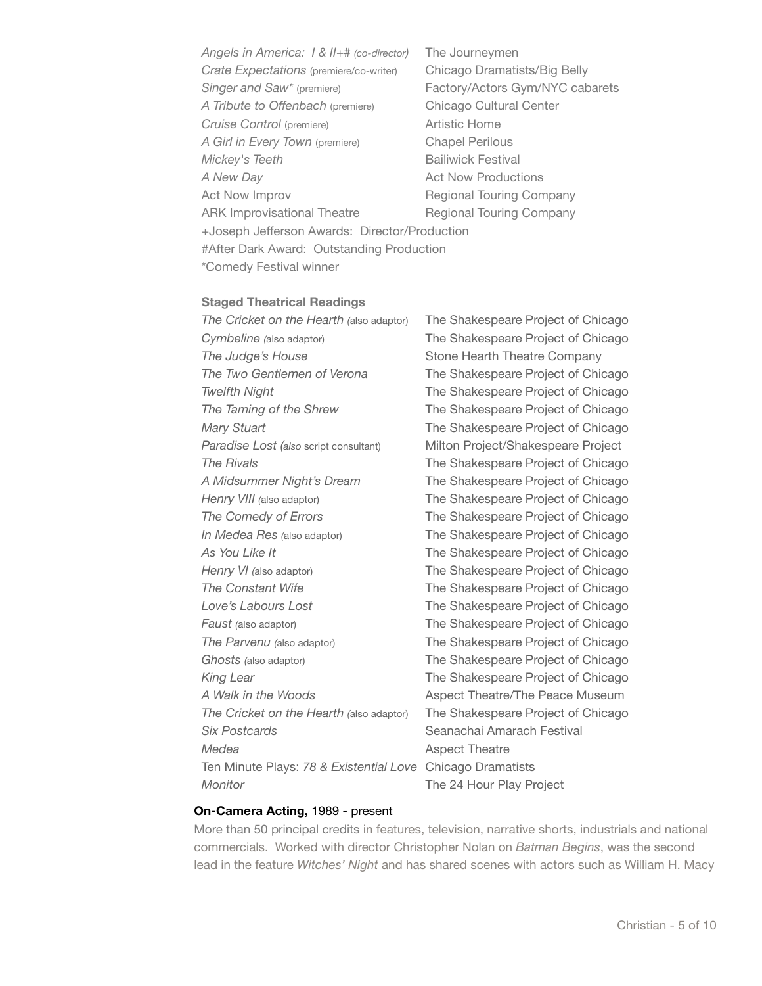*Angels in America: I & II+# (co-director)* The Journeymen *Crate Expectations* (premiere/co-writer) Chicago Dramatists/Big Belly Singer and Saw<sup>\*</sup> (premiere) **Factory/Actors Gym/NYC cabarets**  *A Tribute to Offenbach* (premiere) Chicago Cultural Center **Cruise Control (premiere) Artistic Home** *A Girl in Every Town (premiere)* Chapel Perilous *Mickey's Teeth* **Bailiwick Festival** *A New Day* **Act Now Productions** Act Now Improv **Business Regional Touring Company** ARK Improvisational Theatre **Regional Touring Company**  +Joseph Jefferson Awards: Director/Production #After Dark Award: Outstanding Production \*Comedy Festival winner

#### **Staged Theatrical Readings**

 *The Cricket on the Hearth (*also adaptor) The Shakespeare Project of Chicago *Cymbeline (also adaptor)* The Shakespeare Project of Chicago **The Judge's House** *COMPANY COMPANY* Stone Hearth Theatre Company  *The Two Gentlemen of Verona*  The Shakespeare Project of Chicago **Twelfth Night** *Twelfth Night Might Might <b><i>Might Might Might <b><i>Might Might Might Mighti Mighti Mighti* **<b>** *Mighti Mighti Mighti Mighti Mighti Mi The Taming of the Shrew* **The Shakespeare Project of Chicago** *Mary Stuart Mary Stuart Mary Stuart Mary Stuart And <b> The Shakespeare Project of Chicago Paradise Lost (also script consultant)* Milton Project/Shakespeare Project  *The Rivals*  The Shakespeare Project of Chicago A Midsummer Night's Dream<br>
The Shakespeare Project of Chicago *Henry VIII (also adaptor)* **The Shakespeare Project of Chicago The Comedy of Errors** *The Shakespeare Project of Chicago In Medea Res* (also adaptor) **The Shakespeare Project of Chicago** As You Like It *As You Like It As You Like It*  $\blacksquare$  *The Shakespeare Project of Chicago Henry VI* (also adaptor) *The Shakespeare Project of Chicago* **The Constant Wife** *Constant Wife* *Microsere Project of Chicago Chicago* Love's Labours Lost *Love's Labours Lost Love's Labours Lost* **Faust** (also adaptor) *The Shakespeare Project of Chicago The Parvenu* (also adaptor) *The Shakespeare Project of Chicago* **Ghosts** (also adaptor) *Chicago Chicago Chicago Chicago Chicago Chicago Chicago Chicago Chicago Chicago Chicago Chicago Chicago Chicago Chicago Chicago Chic* King Lear *King Lear COMPONER COMPONER The Shakespeare Project of Chicago**COMPONER COMPONER COMPONER The Shakespeare Project of Chicago* A Walk in the Woods *Aspect Theatre/The Peace Museum The Cricket on the Hearth (*also adaptor) The Shakespeare Project of Chicago **Six Postcards Seanachai Amarach Festival** *Medea* Aspect Theatre Ten Minute Plays: *78 & Existential Love* Chicago Dramatists *Monitor* **CONFIDENTIAL CONFIDENT** The 24 Hour Play Project

#### **On-Camera Acting,** 1989 - present

More than 50 principal credits in features, television, narrative shorts, industrials and national commercials. Worked with director Christopher Nolan on *Batman Begins*, was the second lead in the feature *Witches' Night* and has shared scenes with actors such as William H. Macy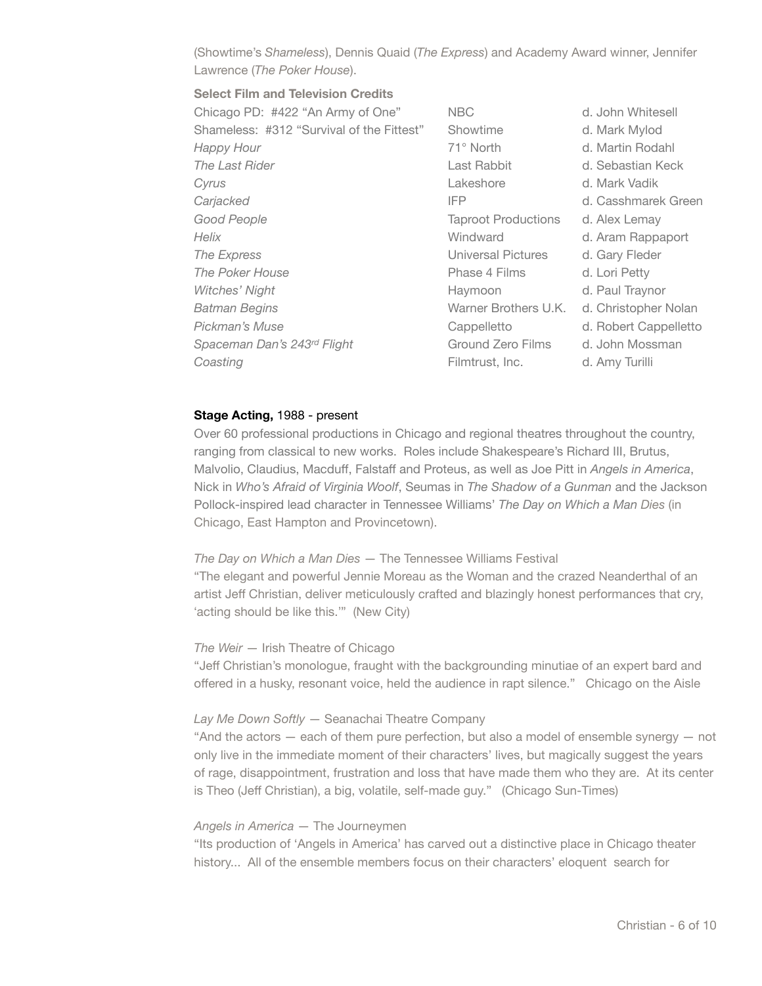(Showtime's *Shameless*), Dennis Quaid (*The Express*) and Academy Award winner, Jennifer Lawrence (*The Poker House*).

# **Select Film and Television Credits**

| <b>NBC</b>                 | d. John Whitesell     |
|----------------------------|-----------------------|
| Showtime                   | d. Mark Mylod         |
| 71° North                  | d. Martin Rodahl      |
| Last Rabbit                | d. Sebastian Keck     |
| Lakeshore                  | d. Mark Vadik         |
| IFP                        | d. Casshmarek Green   |
| <b>Taproot Productions</b> | d. Alex Lemay         |
| Windward                   | d. Aram Rappaport     |
| Universal Pictures         | d. Gary Fleder        |
| Phase 4 Films              | d. Lori Petty         |
| Haymoon                    | d. Paul Traynor       |
| Warner Brothers U.K.       | d. Christopher Nolan  |
| Cappelletto                | d. Robert Cappelletto |
| Ground Zero Films          | d. John Mossman       |
| Filmtrust, Inc.            | d. Amy Turilli        |
|                            |                       |

#### **Stage Acting,** 1988 - present

Over 60 professional productions in Chicago and regional theatres throughout the country, ranging from classical to new works. Roles include Shakespeare's Richard III, Brutus, Malvolio, Claudius, Macduff, Falstaff and Proteus, as well as Joe Pitt in *Angels in America*, Nick in *Who's Afraid of Virginia Woolf*, Seumas in *The Shadow of a Gunman* and the Jackson Pollock-inspired lead character in Tennessee Williams' *The Day on Which a Man Dies* (in Chicago, East Hampton and Provincetown).

# *The Day on Which a Man Dies* — The Tennessee Williams Festival

"The elegant and powerful Jennie Moreau as the Woman and the crazed Neanderthal of an artist Jeff Christian, deliver meticulously crafted and blazingly honest performances that cry, ʻacting should be like this.'" (New City)

#### *The Weir* — Irish Theatre of Chicago

"Jeff Christian's monologue, fraught with the backgrounding minutiae of an expert bard and offered in a husky, resonant voice, held the audience in rapt silence." Chicago on the Aisle

#### *Lay Me Down Softly* — Seanachai Theatre Company

"And the actors — each of them pure perfection, but also a model of ensemble synergy — not only live in the immediate moment of their characters' lives, but magically suggest the years of rage, disappointment, frustration and loss that have made them who they are. At its center is Theo (Jeff Christian), a big, volatile, self-made guy." (Chicago Sun-Times)

### *Angels in America* — The Journeymen

"Its production of 'Angels in America' has carved out a distinctive place in Chicago theater history... All of the ensemble members focus on their characters' eloquent search for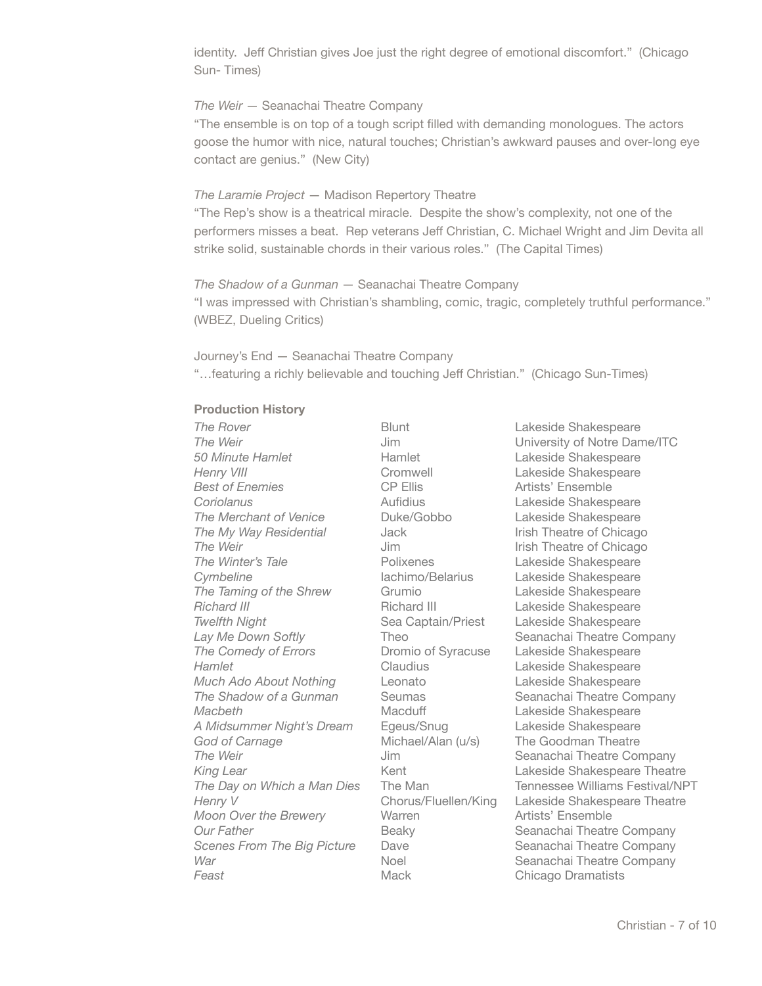identity. Jeff Christian gives Joe just the right degree of emotional discomfort." (Chicago Sun- Times)

### *The Weir* — Seanachai Theatre Company

"The ensemble is on top of a tough script filled with demanding monologues. The actors goose the humor with nice, natural touches; Christian's awkward pauses and over-long eye contact are genius." (New City)

# *The Laramie Project* — Madison Repertory Theatre

"The Rep's show is a theatrical miracle. Despite the show's complexity, not one of the performers misses a beat. Rep veterans Jeff Christian, C. Michael Wright and Jim Devita all strike solid, sustainable chords in their various roles." (The Capital Times)

# *The Shadow of a Gunman* — Seanachai Theatre Company "I was impressed with Christian's shambling, comic, tragic, completely truthful performance." (WBEZ, Dueling Critics)

Journey's End — Seanachai Theatre Company "…featuring a richly believable and touching Jeff Christian." (Chicago Sun-Times)

# **Production History**

*50 Minute Hamlet Hamlet Hamlet Lakeside Shakespeare* **Henry VIII Cromwell Cromwell Lakeside Shakespeare Best of Enemies CP Ellis CP Ellis Artists' Ensemble** *Coriolanus* Aufidius Lakeside Shakespeare **The Merchant of Venice** *Duke/Gobbo* **Lakeside Shakespeare The My Way Residential** Jack Irish Theatre of Chicago **The Weir** *If the Weir Some Merrice Construction Merrice Construction Merrice Of Chicago in the Weir* **The Winter's Tale Polixenes** Lakeside Shakespeare **Cymbeline** lachimo/Belarius Lakeside Shakespeare **The Taming of the Shrew Grumio Constanting Lakeside Shakespeare** *Richard III* **Richard III Lakeside Shakespeare Twelfth Night** Sea Captain/Priest Lakeside Shakespeare **The Comedy of Errors Dromio of Syracuse** Lakeside Shakespeare **Hamlet** Claudius Lakeside Shakespeare *Much Ado About Nothing* Leonato Lakeside Shakespeare **Macbeth** Macduff Lakeside Shakespeare *A Midsummer Night's Dream* Egeus/Snug Lakeside Shakespeare God of Carnage *Michael/Alan (u/s)* The Goodman Theatre *Moon Over the Brewery* **Warren** *Moon Over the Brewery* **Warren Feast Chicago Dramatists Mack Chicago Dramatists** 

**The Rover** Blunt Lakeside Shakespeare **The Weir** *Network Network Sim University of Notre Dame/ITC Note 170* **Lay Me Down Softly Company Theo Company Seanachai Theatre Company The Shadow of a Gunman** Seumas **Seanachai Theatre Company The Weir** *I***M**  *IIM**IIM**Seanachai Theatre Company Seanachai Theatre Company* **King Lear** Kent Lakeside Shakespeare Theatre **The Day on Which a Man Dies** The Man **The Man Communist Contains Festival/NPT Henry V** Chorus/Fluellen/King Lakeside Shakespeare Theatre **Our Father Beaky** Seanachai Theatre Company *Scenes From The Big Picture* Dave Seanachai Theatre Company *War* Noel Seanachai Theatre Company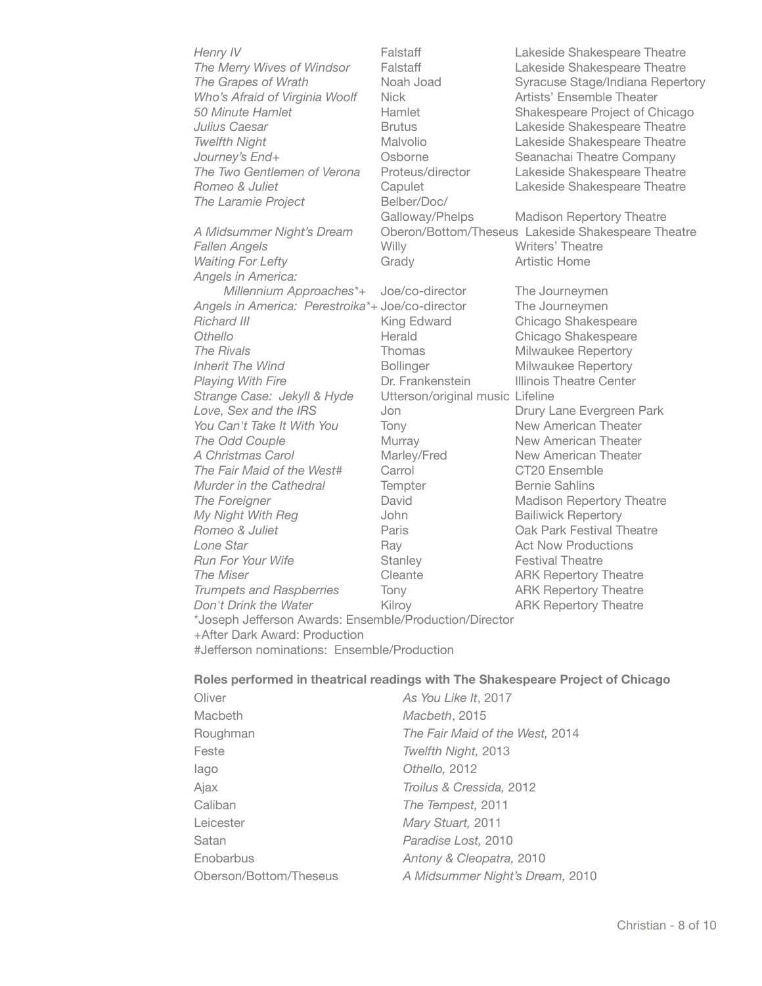| Henry IV                                               | Falstaff                         | Lakeside Shakespeare Theatre                       |
|--------------------------------------------------------|----------------------------------|----------------------------------------------------|
| The Merry Wives of Windsor                             | Falstaff                         | Lakeside Shakespeare Theatre                       |
| The Grapes of Wrath                                    | Noah Joad                        | Syracuse Stage/Indiana Repertory                   |
| Who's Afraid of Virginia Woolf                         | <b>Nick</b>                      | Artists' Ensemble Theater                          |
| 50 Minute Hamlet                                       | Hamlet                           | Shakespeare Project of Chicago                     |
| Julius Caesar                                          | <b>Brutus</b>                    | Lakeside Shakespeare Theatre                       |
| <b>Twelfth Night</b>                                   | Malvolio                         | Lakeside Shakespeare Theatre                       |
| Journey's End+                                         | Osborne                          | Seanachai Theatre Company                          |
| The Two Gentlemen of Verona                            | Proteus/director                 | Lakeside Shakespeare Theatre                       |
| Romeo & Juliet                                         | Capulet                          | Lakeside Shakespeare Theatre                       |
| The Laramie Project                                    | Belber/Doc/                      |                                                    |
|                                                        | Galloway/Phelps                  | <b>Madison Repertory Theatre</b>                   |
| A Midsummer Night's Dream                              |                                  | Oberon/Bottom/Theseus Lakeside Shakespeare Theatre |
| <b>Fallen Angels</b>                                   | Willy                            | Writers' Theatre                                   |
| <b>Waiting For Lefty</b>                               | Grady                            | Artistic Home                                      |
| Angels in America:                                     |                                  |                                                    |
| Millennium Approaches*+                                | Joe/co-director                  | The Journeymen                                     |
| Angels in America: Perestroika*+ Joe/co-director       |                                  | The Journeymen                                     |
| Richard III                                            | King Edward                      | Chicago Shakespeare                                |
| <b>Othello</b>                                         | Herald                           |                                                    |
| The Rivals                                             | Thomas                           | Chicago Shakespeare                                |
|                                                        |                                  | Milwaukee Repertory                                |
| <b>Inherit The Wind</b>                                | <b>Bollinger</b>                 | Milwaukee Repertory                                |
| <b>Playing With Fire</b>                               | Dr. Frankenstein                 | Illinois Theatre Center                            |
| Strange Case: Jekyll & Hyde                            | Utterson/original music Lifeline |                                                    |
| Love, Sex and the IRS                                  | Jon                              | Drury Lane Evergreen Park                          |
| You Can't Take It With You                             | Tony                             | New American Theater                               |
| The Odd Couple                                         | Murray                           | New American Theater                               |
| A Christmas Carol                                      | Marley/Fred                      | New American Theater                               |
| The Fair Maid of the West#                             | Carrol                           | CT20 Ensemble                                      |
| Murder in the Cathedral                                | Tempter                          | <b>Bernie Sahlins</b>                              |
| The Foreigner                                          | David                            | Madison Repertory Theatre                          |
| My Night With Reg                                      | John                             | <b>Bailiwick Repertory</b>                         |
| Romeo & Juliet                                         | Paris                            | Oak Park Festival Theatre                          |
| Lone Star                                              | Ray                              | <b>Act Now Productions</b>                         |
| Run For Your Wife                                      | Stanley                          | <b>Festival Theatre</b>                            |
| The Miser                                              | Cleante                          | <b>ARK Repertory Theatre</b>                       |
| <b>Trumpets and Raspberries</b>                        | Tony                             | <b>ARK Repertory Theatre</b>                       |
| Don't Drink the Water                                  | Kilroy                           | <b>ARK Repertory Theatre</b>                       |
| *Joseph Jefferson Awards: Ensemble/Production/Director |                                  |                                                    |
| +After Dark Award: Production                          |                                  |                                                    |
| #Jefferson nominations: Ensemble/Production            |                                  |                                                    |

# **Roles performed in theatrical readings with The Shakespeare Project of Chicago**

| Oliver                 | As You Like It, 2017            |
|------------------------|---------------------------------|
| Macbeth                | Macbeth, 2015                   |
| Roughman               | The Fair Maid of the West, 2014 |
| Feste                  | Twelfth Night, 2013             |
| lago                   | Othello, 2012                   |
| Ajax                   | Troilus & Cressida, 2012        |
| Caliban                | The Tempest, 2011               |
| Leicester              | Mary Stuart, 2011               |
| Satan                  | Paradise Lost, 2010             |
| Enobarbus              | Antony & Cleopatra, 2010        |
| Oberson/Bottom/Theseus | A Midsummer Night's Dream, 2010 |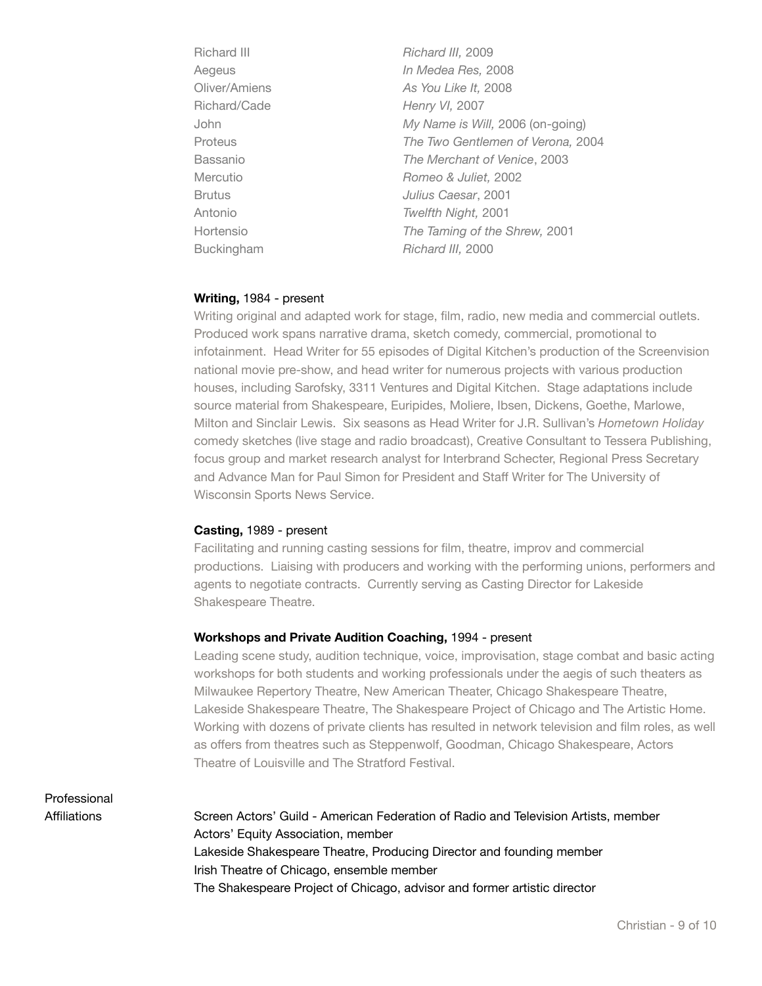| <b>Richard III</b> | Richard III, 2009                 |
|--------------------|-----------------------------------|
| Aegeus             | In Medea Res, 2008                |
| Oliver/Amiens      | As You Like It, 2008              |
| Richard/Cade       | Henry VI, 2007                    |
| John               | My Name is Will, 2006 (on-going)  |
| Proteus            | The Two Gentlemen of Verona, 2004 |
| Bassanio           | The Merchant of Venice, 2003      |
| Mercutio           | Romeo & Juliet, 2002              |
| <b>Brutus</b>      | Julius Caesar, 2001               |
| Antonio            | Twelfth Night, 2001               |
| Hortensio          | The Taming of the Shrew, 2001     |
| Buckingham         | Richard III, 2000                 |
|                    |                                   |

#### **Writing,** 1984 - present

Writing original and adapted work for stage, film, radio, new media and commercial outlets. Produced work spans narrative drama, sketch comedy, commercial, promotional to infotainment. Head Writer for 55 episodes of Digital Kitchen's production of the Screenvision national movie pre-show, and head writer for numerous projects with various production houses, including Sarofsky, 3311 Ventures and Digital Kitchen. Stage adaptations include source material from Shakespeare, Euripides, Moliere, Ibsen, Dickens, Goethe, Marlowe, Milton and Sinclair Lewis. Six seasons as Head Writer for J.R. Sullivan's *Hometown Holiday* comedy sketches (live stage and radio broadcast), Creative Consultant to Tessera Publishing, focus group and market research analyst for Interbrand Schecter, Regional Press Secretary and Advance Man for Paul Simon for President and Staff Writer for The University of Wisconsin Sports News Service.

#### **Casting,** 1989 - present

Facilitating and running casting sessions for film, theatre, improv and commercial productions. Liaising with producers and working with the performing unions, performers and agents to negotiate contracts. Currently serving as Casting Director for Lakeside Shakespeare Theatre.

#### **Workshops and Private Audition Coaching,** 1994 - present

Leading scene study, audition technique, voice, improvisation, stage combat and basic acting workshops for both students and working professionals under the aegis of such theaters as Milwaukee Repertory Theatre, New American Theater, Chicago Shakespeare Theatre, Lakeside Shakespeare Theatre, The Shakespeare Project of Chicago and The Artistic Home. Working with dozens of private clients has resulted in network television and film roles, as well as offers from theatres such as Steppenwolf, Goodman, Chicago Shakespeare, Actors Theatre of Louisville and The Stratford Festival.

Professional

Affiliations Screen Actors' Guild - American Federation of Radio and Television Artists, member Actors' Equity Association, member Lakeside Shakespeare Theatre, Producing Director and founding member Irish Theatre of Chicago, ensemble member The Shakespeare Project of Chicago, advisor and former artistic director